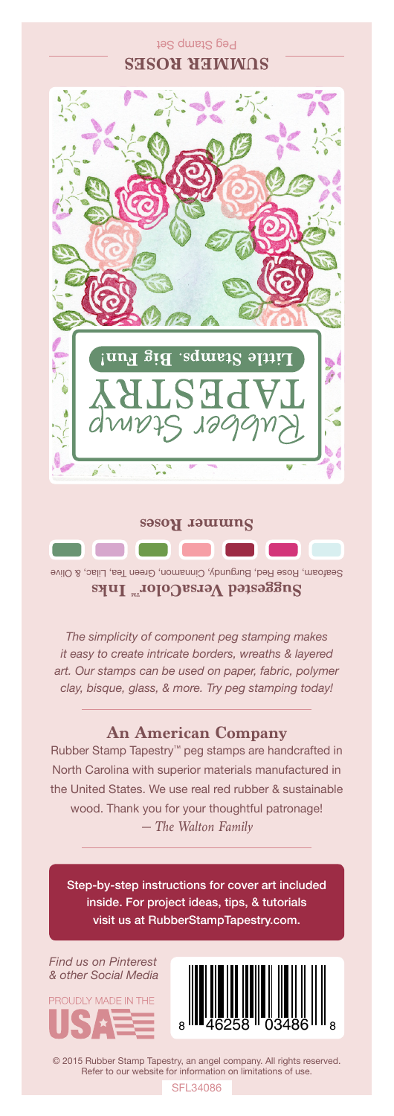## Peg Stamp Set **SUMMER ROSES**



**Summer Roses**

Seafoam, Rose Red, Burgundy, Cinnamon, Green Tea, Lilac, & Olive Suggested VersaColor<sup>m</sup> Inks

*The simplicity of component peg stamping makes it easy to create intricate borders, wreaths & layered art. Our stamps can be used on paper, fabric, polymer clay, bisque, glass, & more. Try peg stamping today!*

## **An American Company**

*— The Walton Family* Rubber Stamp Tapestry™ peg stamps are handcrafted in North Carolina with superior materials manufactured in the United States. We use real red rubber & sustainable wood. Thank you for your thoughtful patronage!

Step-by-step instructions for cover art included inside. For project ideas, tips, & tutorials visit us at RubberStampTapestry.com.

*Find us on Pinterest & other Social Media*





© 2015 Rubber Stamp Tapestry, an angel company. All rights reserved. Refer to our website for information on limitations of use.